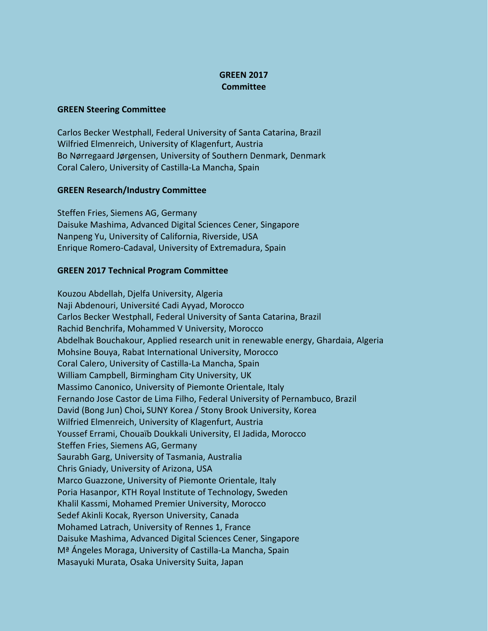## **GREEN 2017 Committee**

## **GREEN Steering Committee**

Carlos Becker Westphall, Federal University of Santa Catarina, Brazil Wilfried Elmenreich, University of Klagenfurt, Austria Bo Nørregaard Jørgensen, University of Southern Denmark, Denmark Coral Calero, University of Castilla-La Mancha, Spain

## **GREEN Research/Industry Committee**

Steffen Fries, Siemens AG, Germany Daisuke Mashima, Advanced Digital Sciences Cener, Singapore Nanpeng Yu, University of California, Riverside, USA Enrique Romero-Cadaval, University of Extremadura, Spain

## **GREEN 2017 Technical Program Committee**

Kouzou Abdellah, Djelfa University, Algeria Naji Abdenouri, Université Cadi Ayyad, Morocco Carlos Becker Westphall, Federal University of Santa Catarina, Brazil Rachid Benchrifa, Mohammed V University, Morocco Abdelhak Bouchakour, Applied research unit in renewable energy, Ghardaia, Algeria Mohsine Bouya, Rabat International University, Morocco Coral Calero, University of Castilla-La Mancha, Spain William Campbell, Birmingham City University, UK Massimo Canonico, University of Piemonte Orientale, Italy Fernando Jose Castor de Lima Filho, Federal University of Pernambuco, Brazil David (Bong Jun) Choi**,** SUNY Korea / Stony Brook University, Korea Wilfried Elmenreich, University of Klagenfurt, Austria Youssef Errami, Chouaïb Doukkali University, El Jadida, Morocco Steffen Fries, Siemens AG, Germany Saurabh Garg, University of Tasmania, Australia Chris Gniady, University of Arizona, USA Marco Guazzone, University of Piemonte Orientale, Italy Poria Hasanpor, KTH Royal Institute of Technology, Sweden Khalil Kassmi, Mohamed Premier University, Morocco Sedef Akinli Kocak, Ryerson University, Canada Mohamed Latrach, University of Rennes 1, France Daisuke Mashima, Advanced Digital Sciences Cener, Singapore Mª Ángeles Moraga, University of Castilla-La Mancha, Spain Masayuki Murata, Osaka University Suita, Japan